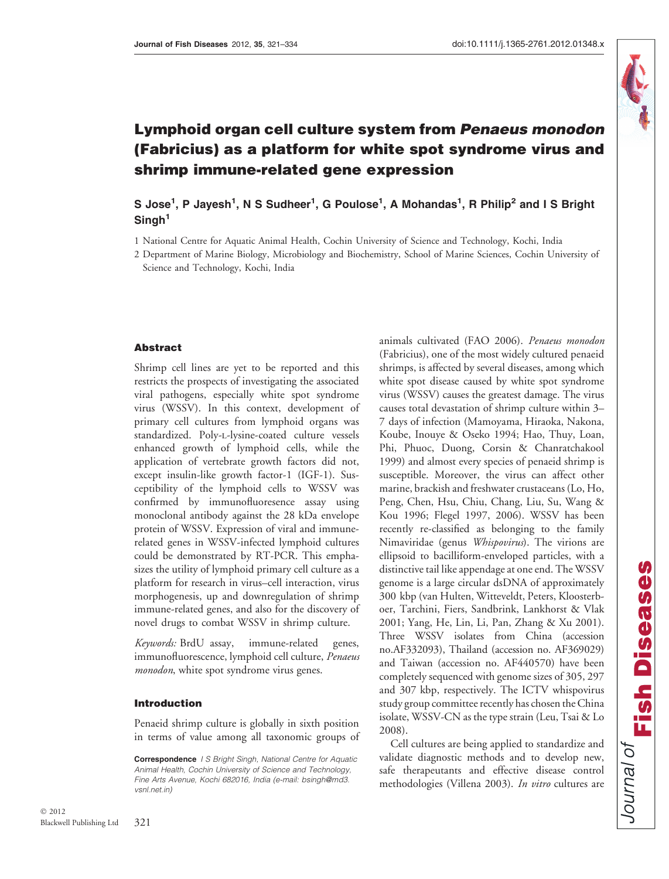

# Lymphoid organ cell culture system from Penaeus monodon (Fabricius) as a platform for white spot syndrome virus and shrimp immune-related gene expression

S Jose $^1$ , P Jayesh $^1$ , N S Sudheer $^1$ , G Poulose $^1$ , A Mohandas $^1$ , R Philip $^2$  and I S Bright Singh<sup>1</sup>

1 National Centre for Aquatic Animal Health, Cochin University of Science and Technology, Kochi, India

#### Abstract

Shrimp cell lines are yet to be reported and this restricts the prospects of investigating the associated viral pathogens, especially white spot syndrome virus (WSSV). In this context, development of primary cell cultures from lymphoid organs was standardized. Poly-l-lysine-coated culture vessels enhanced growth of lymphoid cells, while the application of vertebrate growth factors did not, except insulin-like growth factor-1 (IGF-1). Susceptibility of the lymphoid cells to WSSV was confirmed by immunofluoresence assay using monoclonal antibody against the 28 kDa envelope protein of WSSV. Expression of viral and immunerelated genes in WSSV-infected lymphoid cultures could be demonstrated by RT-PCR. This emphasizes the utility of lymphoid primary cell culture as a platform for research in virus–cell interaction, virus morphogenesis, up and downregulation of shrimp immune-related genes, and also for the discovery of novel drugs to combat WSSV in shrimp culture.

Keywords: BrdU assay, immune-related genes, immunofluorescence, lymphoid cell culture, Penaeus monodon, white spot syndrome virus genes.

#### Introduction

Penaeid shrimp culture is globally in sixth position in terms of value among all taxonomic groups of shrimps, is affected by several diseases, among which white spot disease caused by white spot syndrome virus (WSSV) causes the greatest damage. The virus causes total devastation of shrimp culture within 3– 7 days of infection (Mamoyama, Hiraoka, Nakona, Koube, Inouye & Oseko 1994; Hao, Thuy, Loan, Phi, Phuoc, Duong, Corsin & Chanratchakool 1999) and almost every species of penaeid shrimp is susceptible. Moreover, the virus can affect other marine, brackish and freshwater crustaceans (Lo, Ho, Peng, Chen, Hsu, Chiu, Chang, Liu, Su, Wang & Kou 1996; Flegel 1997, 2006). WSSV has been recently re-classified as belonging to the family Nimaviridae (genus Whispovirus). The virions are ellipsoid to bacilliform-enveloped particles, with a distinctive tail like appendage at one end. The WSSV genome is a large circular dsDNA of approximately 300 kbp (van Hulten, Witteveldt, Peters, Kloosterboer, Tarchini, Fiers, Sandbrink, Lankhorst & Vlak 2001; Yang, He, Lin, Li, Pan, Zhang & Xu 2001). Three WSSV isolates from China (accession no.AF332093), Thailand (accession no. AF369029) and Taiwan (accession no. AF440570) have been completely sequenced with genome sizes of 305, 297 and 307 kbp, respectively. The ICTV whispovirus study group committee recently has chosen the China isolate, WSSV-CN as the type strain (Leu, Tsai & Lo 2008).

animals cultivated (FAO 2006). Penaeus monodon (Fabricius), one of the most widely cultured penaeid

Cell cultures are being applied to standardize and validate diagnostic methods and to develop new, safe therapeutants and effective disease control methodologies (Villena 2003). In vitro cultures are

<sup>2</sup> Department of Marine Biology, Microbiology and Biochemistry, School of Marine Sciences, Cochin University of Science and Technology, Kochi, India

Correspondence I S Bright Singh, National Centre for Aquatic Animal Health, Cochin University of Science and Technology, Fine Arts Avenue, Kochi 682016, India (e-mail: bsingh@md3. vsnl.net.in)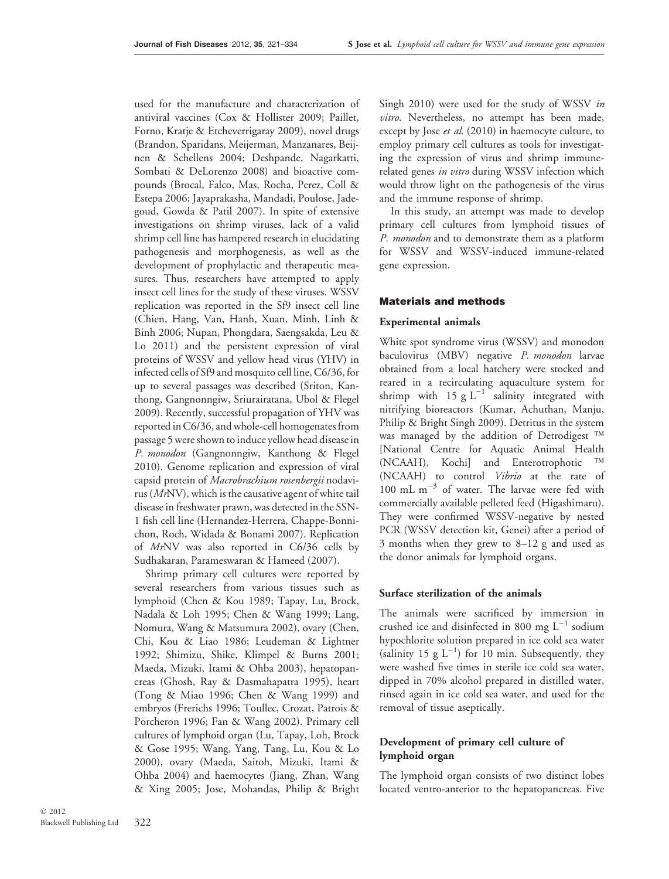used for the manufacture and characterization of antiviral vaccines (Cox & Hollister 2009; Paillet, Forno, Kratje & Etcheverrigaray 2009), novel drugs (Brandon, Sparidans, Meijerman, Manzanares, Beijnen & Schellens 2004; Deshpande, Nagarkatti, Sombati & DeLorenzo 2008) and bioactive compounds (Brocal, Falco, Mas, Rocha, Perez, Coll & Estepa 2006; Jayaprakasha, Mandadi, Poulose, Jadegoud, Gowda & Patil 2007). In spite of extensive investigations on shrimp viruses, lack of a valid shrimp cell line has hampered research in elucidating pathogenesis and morphogenesis, as well as the development of prophylactic and therapeutic measures. Thus, researchers have attempted to apply insect cell lines for the study of these viruses. WSSV replication was reported in the Sf9 insect cell line (Chien, Hang, Van, Hanh, Xuan, Minh, Linh & Binh 2006; Nupan, Phongdara, Saengsakda, Leu & Lo 2011) and the persistent expression of viral proteins of WSSV and yellow head virus (YHV) in infected cells of Sf9 and mosquito cell line, C6/36, for up to several passages was described (Sriton, Kanthong, Gangnonngiw, Sriurairatana, Ubol & Flegel 2009). Recently, successful propagation of YHV was reported in C6/36, and whole-cell homogenates from passage 5 were shown to induce yellow head disease in P. monodon (Gangnonngiw, Kanthong & Flegel 2010). Genome replication and expression of viral capsid protein of Macrobrachium rosenbergii nodavirus (MrNV), which is the causative agent of white tail disease in freshwater prawn, was detected in the SSN-1 fish cell line (Hernandez-Herrera, Chappe-Bonnichon, Roch, Widada & Bonami 2007). Replication of MrNV was also reported in C6/36 cells by Sudhakaran, Parameswaran & Hameed (2007).

Shrimp primary cell cultures were reported by several researchers from various tissues such as lymphoid (Chen & Kou 1989; Tapay, Lu, Brock, Nadala & Loh 1995; Chen & Wang 1999; Lang, Nomura, Wang & Matsumura 2002), ovary (Chen, Chi, Kou & Liao 1986; Leudeman & Lightner 1992; Shimizu, Shike, Klimpel & Burns 2001; Maeda, Mizuki, Itami & Ohba 2003), hepatopancreas (Ghosh, Ray & Dasmahapatra 1995), heart (Tong & Miao 1996; Chen & Wang 1999) and embryos (Frerichs 1996; Toullec, Crozat, Patrois & Porcheron 1996; Fan & Wang 2002). Primary cell cultures of lymphoid organ (Lu, Tapay, Loh, Brock & Gose 1995; Wang, Yang, Tang, Lu, Kou & Lo 2000), ovary (Maeda, Saitoh, Mizuki, Itami & Ohba 2004) and haemocytes (Jiang, Zhan, Wang & Xing 2005; Jose, Mohandas, Philip & Bright Singh 2010) were used for the study of WSSV in vitro. Nevertheless, no attempt has been made, except by Jose et al. (2010) in haemocyte culture, to employ primary cell cultures as tools for investigating the expression of virus and shrimp immunerelated genes in vitro during WSSV infection which would throw light on the pathogenesis of the virus and the immune response of shrimp.

In this study, an attempt was made to develop primary cell cultures from lymphoid tissues of P. monodon and to demonstrate them as a platform for WSSV and WSSV-induced immune-related gene expression.

#### Materials and methods

#### Experimental animals

White spot syndrome virus (WSSV) and monodon baculovirus (MBV) negative P. monodon larvae obtained from a local hatchery were stocked and reared in a recirculating aquaculture system for shrimp with 15 g  $L^{-1}$  salinity integrated with nitrifying bioreactors (Kumar, Achuthan, Manju, Philip & Bright Singh 2009). Detritus in the system was managed by the addition of Detrodigest <sup>TM</sup> [National Centre for Aquatic Animal Health (NCAAH), Kochi] and Enterotrophotic (NCAAH) to control Vibrio at the rate of 100 mL  $m^{-3}$  of water. The larvae were fed with commercially available pelleted feed (Higashimaru). They were confirmed WSSV-negative by nested PCR (WSSV detection kit, Genei) after a period of 3 months when they grew to 8–12 g and used as the donor animals for lymphoid organs.

#### Surface sterilization of the animals

The animals were sacrificed by immersion in crushed ice and disinfected in 800 mg  $L^{-1}$  sodium hypochlorite solution prepared in ice cold sea water (salinity 15 g  $L^{-1}$ ) for 10 min. Subsequently, they were washed five times in sterile ice cold sea water, dipped in 70% alcohol prepared in distilled water, rinsed again in ice cold sea water, and used for the removal of tissue aseptically.

## Development of primary cell culture of lymphoid organ

The lymphoid organ consists of two distinct lobes located ventro-anterior to the hepatopancreas. Five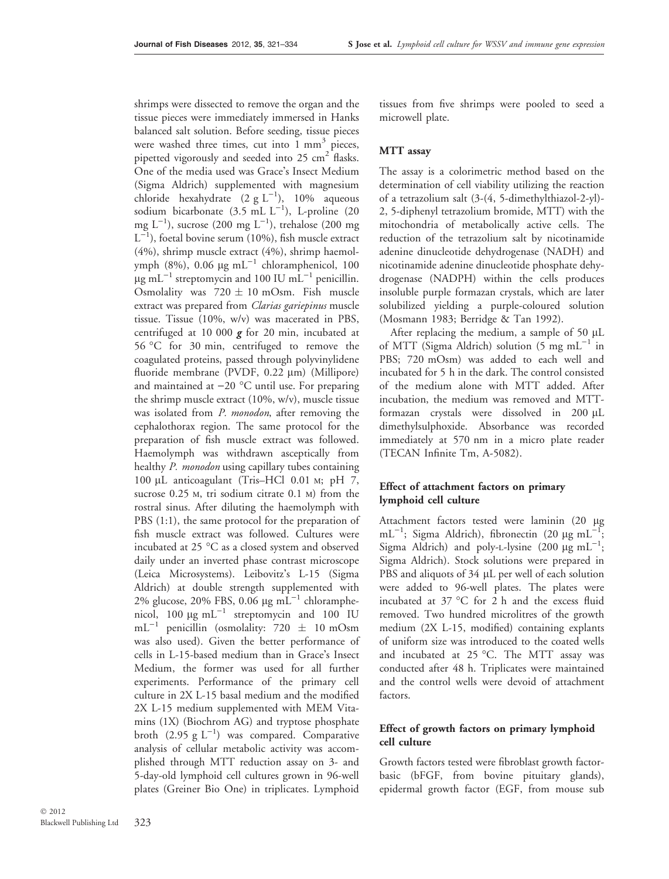shrimps were dissected to remove the organ and the tissue pieces were immediately immersed in Hanks balanced salt solution. Before seeding, tissue pieces were washed three times, cut into  $1 \text{ mm}^3$  pieces, pipetted vigorously and seeded into  $25 \text{ cm}^2$  flasks. One of the media used was Grace's Insect Medium (Sigma Aldrich) supplemented with magnesium chloride hexahydrate  $(2 g L^{-1})$ , 10% aqueous sodium bicarbonate  $(3.5 \text{ mL L}^{-1})$ , L-proline  $(20$ mg  $L^{-1}$ ), sucrose (200 mg  $L^{-1}$ ), trehalose (200 mg  $L^{-1}$ ), foetal bovine serum (10%), fish muscle extract (4%), shrimp muscle extract (4%), shrimp haemolymph (8%), 0.06  $\mu$ g mL<sup>-1</sup> chloramphenicol, 100  $\mu$ g mL<sup>-1</sup> streptomycin and 100 IU mL<sup>-1</sup> penicillin. Osmolality was  $720 \pm 10$  mOsm. Fish muscle extract was prepared from Clarias gariepinus muscle tissue. Tissue (10%, w/v) was macerated in PBS, centrifuged at 10 000  $g$  for 20 min, incubated at 56 °C for 30 min, centrifuged to remove the coagulated proteins, passed through polyvinylidene fluoride membrane (PVDF, 0.22 µm) (Millipore) and maintained at  $-20$  °C until use. For preparing the shrimp muscle extract (10%, w/v), muscle tissue was isolated from *P. monodon*, after removing the cephalothorax region. The same protocol for the preparation of fish muscle extract was followed. Haemolymph was withdrawn asceptically from healthy P. monodon using capillary tubes containing 100 μL anticoagulant (Tris–HCl 0.01 m; pH 7, sucrose 0.25 m, tri sodium citrate 0.1 m) from the rostral sinus. After diluting the haemolymph with PBS (1:1), the same protocol for the preparation of fish muscle extract was followed. Cultures were incubated at 25  $\degree$ C as a closed system and observed daily under an inverted phase contrast microscope (Leica Microsystems). Leibovitz's L-15 (Sigma Aldrich) at double strength supplemented with 2% glucose, 20% FBS, 0.06  $\mu$ g mL<sup>-1</sup> chloramphenicol,  $100 \mu g \text{ mL}^{-1}$  streptomycin and  $100 \text{ IU}$  $mL^{-1}$  penicillin (osmolality: 720  $\pm$  10 mOsm was also used). Given the better performance of cells in L-15-based medium than in Grace's Insect Medium, the former was used for all further experiments. Performance of the primary cell culture in 2X L-15 basal medium and the modified 2X L-15 medium supplemented with MEM Vitamins (1X) (Biochrom AG) and tryptose phosphate broth  $(2.95 \text{ g L}^{-1})$  was compared. Comparative analysis of cellular metabolic activity was accomplished through MTT reduction assay on 3- and 5-day-old lymphoid cell cultures grown in 96-well plates (Greiner Bio One) in triplicates. Lymphoid

tissues from five shrimps were pooled to seed a microwell plate.

#### MTT assay

The assay is a colorimetric method based on the determination of cell viability utilizing the reaction of a tetrazolium salt (3-(4, 5-dimethylthiazol-2-yl)- 2, 5-diphenyl tetrazolium bromide, MTT) with the mitochondria of metabolically active cells. The reduction of the tetrazolium salt by nicotinamide adenine dinucleotide dehydrogenase (NADH) and nicotinamide adenine dinucleotide phosphate dehydrogenase (NADPH) within the cells produces insoluble purple formazan crystals, which are later solubilized yielding a purple-coloured solution (Mosmann 1983; Berridge & Tan 1992).

After replacing the medium, a sample of 50 µL of MTT (Sigma Aldrich) solution  $(5 \text{ mg } \text{mL}^{-1})$  in PBS; 720 mOsm) was added to each well and incubated for 5 h in the dark. The control consisted of the medium alone with MTT added. After incubation, the medium was removed and MTTformazan crystals were dissolved in  $200 \mu L$ dimethylsulphoxide. Absorbance was recorded immediately at 570 nm in a micro plate reader (TECAN Infinite Tm, A-5082).

## Effect of attachment factors on primary lymphoid cell culture

Attachment factors tested were laminin (20 µg mL<sup>-1</sup>; Sigma Aldrich), fibronectin (20 µg mL<sup>-1</sup>; Sigma Aldrich) and poly-L-lysine  $(200 \mu g \text{ mL}^{-1})$ ; Sigma Aldrich). Stock solutions were prepared in PBS and aliquots of 34 µL per well of each solution were added to 96-well plates. The plates were incubated at 37 °C for 2 h and the excess fluid removed. Two hundred microlitres of the growth medium (2X L-15, modified) containing explants of uniform size was introduced to the coated wells and incubated at  $25$  °C. The MTT assay was conducted after 48 h. Triplicates were maintained and the control wells were devoid of attachment factors.

## Effect of growth factors on primary lymphoid cell culture

Growth factors tested were fibroblast growth factorbasic (bFGF, from bovine pituitary glands), epidermal growth factor (EGF, from mouse sub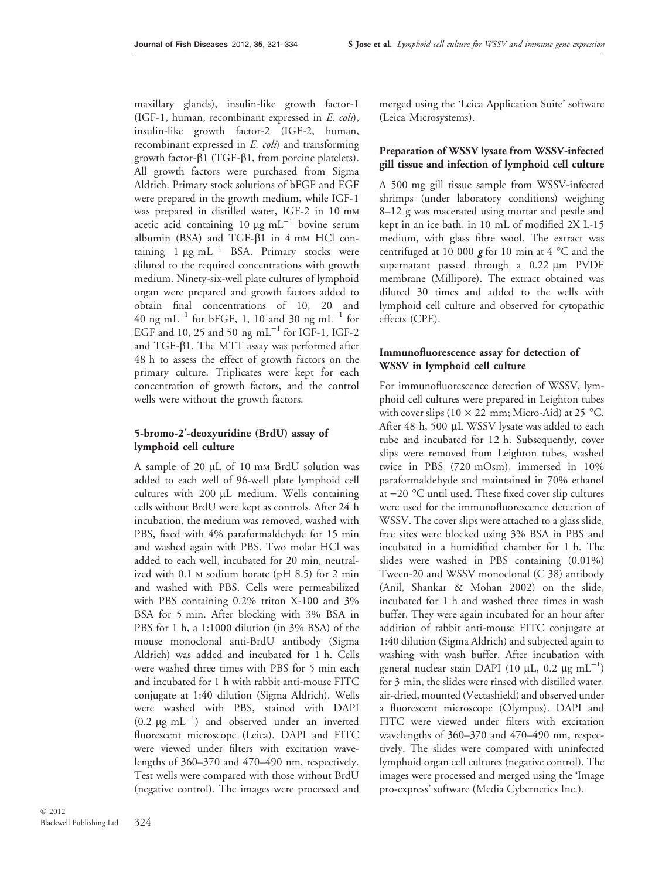maxillary glands), insulin-like growth factor-1 (IGF-1, human, recombinant expressed in E. coli), insulin-like growth factor-2 (IGF-2, human, recombinant expressed in E. coli) and transforming growth factor- $\beta$ 1 (TGF- $\beta$ 1, from porcine platelets). All growth factors were purchased from Sigma Aldrich. Primary stock solutions of bFGF and EGF were prepared in the growth medium, while IGF-1 was prepared in distilled water, IGF-2 in 10 mm acetic acid containing 10  $\mu$ g mL<sup>-1</sup> bovine serum albumin (BSA) and TGF- $\beta$ 1 in 4 mm HCl containing  $1 \mu g m L^{-1}$  BSA. Primary stocks were diluted to the required concentrations with growth medium. Ninety-six-well plate cultures of lymphoid organ were prepared and growth factors added to obtain final concentrations of 10, 20 and 40 ng mL<sup>-1</sup> for bFGF, 1, 10 and 30 ng mL<sup>-1</sup> for EGF and 10, 25 and 50 ng  $mL^{-1}$  for IGF-1, IGF-2 and TGF- $\beta$ 1. The MTT assay was performed after 48 h to assess the effect of growth factors on the primary culture. Triplicates were kept for each concentration of growth factors, and the control wells were without the growth factors.

# 5-bromo-2¢-deoxyuridine (BrdU) assay of lymphoid cell culture

A sample of 20 µL of 10 mm BrdU solution was added to each well of 96-well plate lymphoid cell cultures with  $200 \mu L$  medium. Wells containing cells without BrdU were kept as controls. After 24 h incubation, the medium was removed, washed with PBS, fixed with 4% paraformaldehyde for 15 min and washed again with PBS. Two molar HCl was added to each well, incubated for 20 min, neutralized with 0.1 m sodium borate (pH 8.5) for 2 min and washed with PBS. Cells were permeabilized with PBS containing 0.2% triton X-100 and 3% BSA for 5 min. After blocking with 3% BSA in PBS for 1 h, a 1:1000 dilution (in 3% BSA) of the mouse monoclonal anti-BrdU antibody (Sigma Aldrich) was added and incubated for 1 h. Cells were washed three times with PBS for 5 min each and incubated for 1 h with rabbit anti-mouse FITC conjugate at 1:40 dilution (Sigma Aldrich). Wells were washed with PBS, stained with DAPI  $(0.2 \text{ µg mL}^{-1})$  and observed under an inverted fluorescent microscope (Leica). DAPI and FITC were viewed under filters with excitation wavelengths of 360–370 and 470–490 nm, respectively. Test wells were compared with those without BrdU (negative control). The images were processed and merged using the 'Leica Application Suite' software (Leica Microsystems).

# Preparation of WSSV lysate from WSSV-infected gill tissue and infection of lymphoid cell culture

A 500 mg gill tissue sample from WSSV-infected shrimps (under laboratory conditions) weighing 8–12 g was macerated using mortar and pestle and kept in an ice bath, in 10 mL of modified 2X L-15 medium, with glass fibre wool. The extract was centrifuged at 10 000  $\boldsymbol{g}$  for 10 min at 4 °C and the supernatant passed through a  $0.22 \mu m$  PVDF membrane (Millipore). The extract obtained was diluted 30 times and added to the wells with lymphoid cell culture and observed for cytopathic effects (CPE).

# Immunofluorescence assay for detection of WSSV in lymphoid cell culture

For immunofluorescence detection of WSSV, lymphoid cell cultures were prepared in Leighton tubes with cover slips (10  $\times$  22 mm; Micro-Aid) at 25 °C. After 48 h, 500 µL WSSV lysate was added to each tube and incubated for 12 h. Subsequently, cover slips were removed from Leighton tubes, washed twice in PBS (720 mOsm), immersed in 10% paraformaldehyde and maintained in 70% ethanol at  $-20$  °C until used. These fixed cover slip cultures were used for the immunofluorescence detection of WSSV. The cover slips were attached to a glass slide, free sites were blocked using 3% BSA in PBS and incubated in a humidified chamber for 1 h. The slides were washed in PBS containing (0.01%) Tween-20 and WSSV monoclonal (C 38) antibody (Anil, Shankar & Mohan 2002) on the slide, incubated for 1 h and washed three times in wash buffer. They were again incubated for an hour after addition of rabbit anti-mouse FITC conjugate at 1:40 dilution (Sigma Aldrich) and subjected again to washing with wash buffer. After incubation with general nuclear stain DAPI (10 µL, 0.2 µg mL<sup>-1</sup>) for 3 min, the slides were rinsed with distilled water, air-dried, mounted (Vectashield) and observed under a fluorescent microscope (Olympus). DAPI and FITC were viewed under filters with excitation wavelengths of 360–370 and 470–490 nm, respectively. The slides were compared with uninfected lymphoid organ cell cultures (negative control). The images were processed and merged using the 'Image pro-express' software (Media Cybernetics Inc.).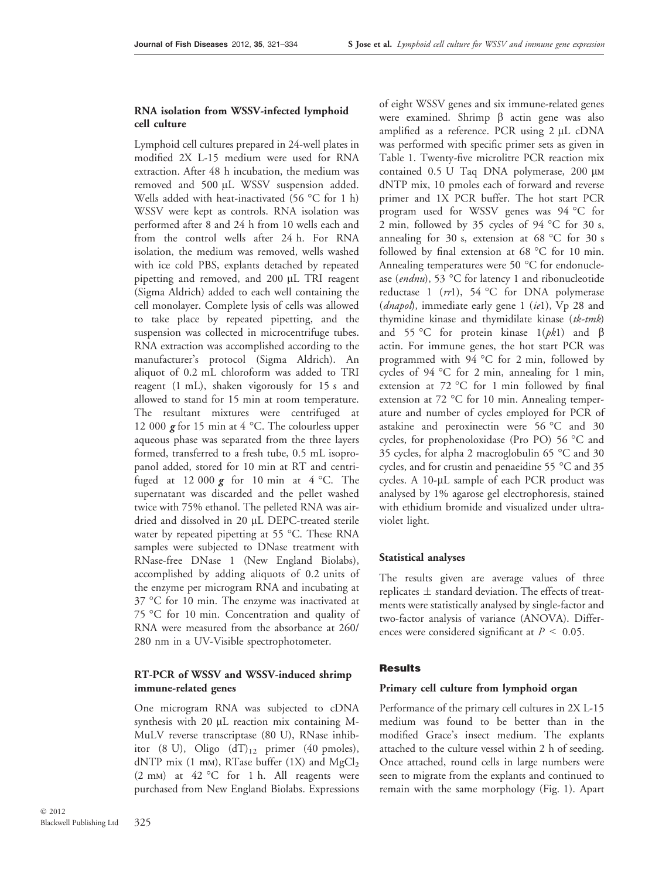#### RNA isolation from WSSV-infected lymphoid cell culture

Lymphoid cell cultures prepared in 24-well plates in modified 2X L-15 medium were used for RNA extraction. After 48 h incubation, the medium was removed and 500 µL WSSV suspension added. Wells added with heat-inactivated (56  $\degree$ C for 1 h) WSSV were kept as controls. RNA isolation was performed after 8 and 24 h from 10 wells each and from the control wells after 24 h. For RNA isolation, the medium was removed, wells washed with ice cold PBS, explants detached by repeated pipetting and removed, and 200 µL TRI reagent (Sigma Aldrich) added to each well containing the cell monolayer. Complete lysis of cells was allowed to take place by repeated pipetting, and the suspension was collected in microcentrifuge tubes. RNA extraction was accomplished according to the manufacturer's protocol (Sigma Aldrich). An aliquot of 0.2 mL chloroform was added to TRI reagent (1 mL), shaken vigorously for 15 s and allowed to stand for 15 min at room temperature. The resultant mixtures were centrifuged at 12 000  $g$  for 15 min at 4 °C. The colourless upper aqueous phase was separated from the three layers formed, transferred to a fresh tube, 0.5 mL isopropanol added, stored for 10 min at RT and centrifuged at 12 000  $\boldsymbol{g}$  for 10 min at 4 °C. The supernatant was discarded and the pellet washed twice with 75% ethanol. The pelleted RNA was airdried and dissolved in 20 µL DEPC-treated sterile water by repeated pipetting at 55 °C. These RNA samples were subjected to DNase treatment with RNase-free DNase 1 (New England Biolabs), accomplished by adding aliquots of 0.2 units of the enzyme per microgram RNA and incubating at  $37 \text{ °C}$  for 10 min. The enzyme was inactivated at 75 °C for 10 min. Concentration and quality of RNA were measured from the absorbance at 260/ 280 nm in a UV-Visible spectrophotometer.

# RT-PCR of WSSV and WSSV-induced shrimp immune-related genes

One microgram RNA was subjected to cDNA synthesis with  $20 \mu L$  reaction mix containing M-MuLV reverse transcriptase (80 U), RNase inhibitor (8 U), Oligo  $(dT)_{12}$  primer (40 pmoles), dNTP mix (1 mm), RTase buffer (1X) and  $MgCl<sub>2</sub>$ (2 mm) at  $42 \degree C$  for 1 h. All reagents were purchased from New England Biolabs. Expressions

325  $\odot$  2012 Blackwell Publishing Ltd

of eight WSSV genes and six immune-related genes were examined. Shrimp  $\beta$  actin gene was also amplified as a reference. PCR using  $2 \mu L$  cDNA was performed with specific primer sets as given in Table 1. Twenty-five microlitre PCR reaction mix contained  $0.5$  U Taq DNA polymerase,  $200 \mu$ M dNTP mix, 10 pmoles each of forward and reverse primer and 1X PCR buffer. The hot start PCR program used for WSSV genes was 94 °C for 2 min, followed by 35 cycles of 94  $^{\circ}$ C for 30 s, annealing for 30 s, extension at  $68 °C$  for 30 s followed by final extension at  $68 °C$  for 10 min. Annealing temperatures were 50  $^{\circ}$ C for endonuclease (endnu), 53 °C for latency 1 and ribonucleotide reductase 1 ( $rr1$ ), 54 °C for DNA polymerase (*dnapol*), immediate early gene 1 (*ie*1), Vp 28 and thymidine kinase and thymidilate kinase  $(tk$ -tmk) and 55 °C for protein kinase  $1(pk1)$  and  $\beta$ actin. For immune genes, the hot start PCR was programmed with  $94 °C$  for 2 min, followed by cycles of  $94^{\circ}$ C for 2 min, annealing for 1 min, extension at  $72 °C$  for 1 min followed by final extension at  $72 \text{ °C}$  for 10 min. Annealing temperature and number of cycles employed for PCR of astakine and peroxinectin were  $56 °C$  and  $30$ cycles, for prophenoloxidase (Pro PO) 56 °C and 35 cycles, for alpha 2 macroglobulin 65  $\degree$ C and 30 cycles, and for crustin and penaeidine 55 °C and 35 cycles. A 10-µL sample of each PCR product was analysed by 1% agarose gel electrophoresis, stained with ethidium bromide and visualized under ultraviolet light.

#### Statistical analyses

The results given are average values of three replicates  $\pm$  standard deviation. The effects of treatments were statistically analysed by single-factor and two-factor analysis of variance (ANOVA). Differences were considered significant at  $P \leq 0.05$ .

## Results

#### Primary cell culture from lymphoid organ

Performance of the primary cell cultures in 2X L-15 medium was found to be better than in the modified Grace's insect medium. The explants attached to the culture vessel within 2 h of seeding. Once attached, round cells in large numbers were seen to migrate from the explants and continued to remain with the same morphology (Fig. 1). Apart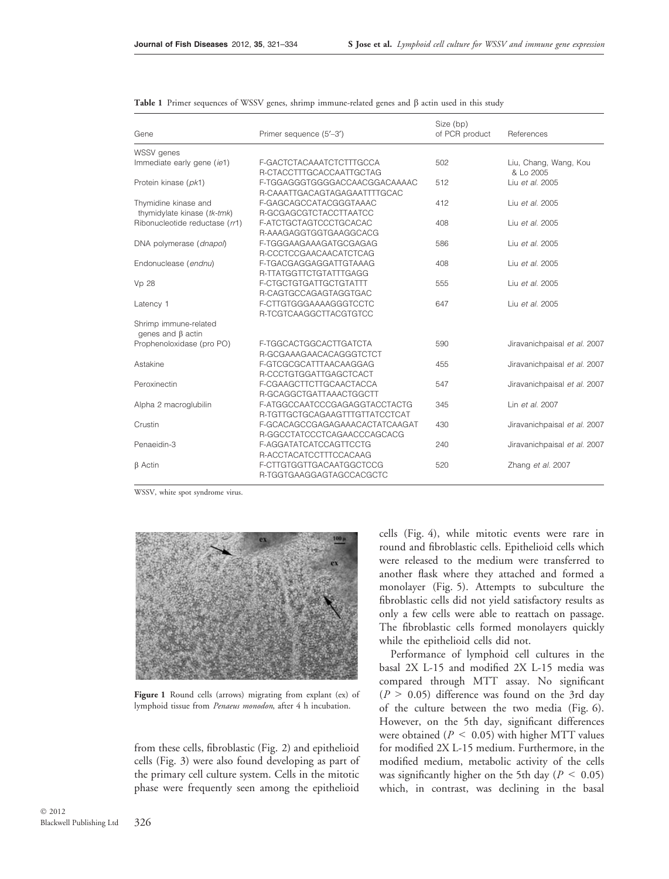| Gene                           | Primer sequence (5'-3')        | Size (bp)<br>of PCR product | References                   |
|--------------------------------|--------------------------------|-----------------------------|------------------------------|
|                                |                                |                             |                              |
| Immediate early gene (ie1)     | F-GACTCTACAAATCTCTTTGCCA       | 502                         | Liu, Chang, Wang, Kou        |
|                                | R-CTACCTTTGCACCAATTGCTAG       |                             | & Lo 2005                    |
| Protein kinase (pk1)           | F-TGGAGGGTGGGGACCAACGGACAAAAC  | 512                         | Liu et al. 2005              |
|                                | R-CAAATTGACAGTAGAGAATTTTGCAC   |                             |                              |
| Thymidine kinase and           | F-GAGCAGCCATACGGGTAAAC         | 412                         | Liu et al. 2005              |
| thymidylate kinase (tk-tmk)    | R-GCGAGCGTCTACCTTAATCC         |                             |                              |
| Ribonucleotide reductase (rr1) | F-ATCTGCTAGTCCCTGCACAC         | 408                         | Liu et al. 2005              |
|                                | R-AAAGAGGTGGTGAAGGCACG         |                             |                              |
| DNA polymerase (dnapol)        | F-TGGGAAGAAAGATGCGAGAG         | 586                         | Liu et al. 2005              |
|                                | R-CCCTCCGAACAACATCTCAG         |                             |                              |
| Endonuclease (endnu)           | F-TGACGAGGAGGATTGTAAAG         | 408                         | Liu et al. 2005              |
|                                | R-TTATGGTTCTGTATTTGAGG         |                             |                              |
| Vp 28                          | F-CTGCTGTGATTGCTGTATTT         | 555                         | Liu et al. 2005              |
|                                | R-CAGTGCCAGAGTAGGTGAC          |                             |                              |
| Latency 1                      | F-CTTGTGGGAAAAGGGTCCTC         | 647                         | Liu et al. 2005              |
|                                | R-TCGTCAAGGCTTACGTGTCC         |                             |                              |
| Shrimp immune-related          |                                |                             |                              |
| genes and $\beta$ actin        |                                |                             |                              |
| Prophenoloxidase (pro PO)      | F-TGGCACTGGCACTTGATCTA         | 590                         | Jiravanichpaisal et al. 2007 |
|                                | R-GCGAAAGAACACAGGGTCTCT        |                             |                              |
| Astakine                       | F-GTCGCGCATTTAACAAGGAG         | 455                         | Jiravanichpaisal et al. 2007 |
|                                | R-CCCTGTGGATTGAGCTCACT         |                             |                              |
| Peroxinectin                   | F-CGAAGCTTCTTGCAACTACCA        | 547                         | Jiravanichpaisal et al. 2007 |
|                                | R-GCAGGCTGATTAAACTGGCTT        |                             |                              |
| Alpha 2 macroglubilin          | F-ATGGCCAATCCCGAGAGGTACCTACTG  | 345                         | Lin et al. 2007              |
|                                | R-TGTTGCTGCAGAAGTTTGTTATCCTCAT |                             |                              |
| Crustin                        | F-GCACAGCCGAGAGAAACACTATCAAGAT | 430                         | Jiravanichpaisal et al. 2007 |
|                                | R-GGCCTATCCCTCAGAACCCAGCACG    |                             |                              |
| Penaeidin-3                    | F-AGGATATCATCCAGTTCCTG         | 240                         | Jiravanichpaisal et al. 2007 |
|                                | R-ACCTACATCCTTTCCACAAG         |                             |                              |
| $\beta$ Actin                  | F-CTTGTGGTTGACAATGGCTCCG       | 520                         | Zhang et al. 2007            |
|                                | R-TGGTGAAGGAGTAGCCACGCTC       |                             |                              |
|                                |                                |                             |                              |

Table 1 Primer sequences of WSSV genes, shrimp immune-related genes and  $\beta$  actin used in this study

WSSV, white spot syndrome virus.



Figure 1 Round cells (arrows) migrating from explant (ex) of lymphoid tissue from Penaeus monodon, after 4 h incubation.

from these cells, fibroblastic (Fig. 2) and epithelioid cells (Fig. 3) were also found developing as part of the primary cell culture system. Cells in the mitotic phase were frequently seen among the epithelioid cells (Fig. 4), while mitotic events were rare in round and fibroblastic cells. Epithelioid cells which were released to the medium were transferred to another flask where they attached and formed a monolayer (Fig. 5). Attempts to subculture the fibroblastic cells did not yield satisfactory results as only a few cells were able to reattach on passage. The fibroblastic cells formed monolayers quickly while the epithelioid cells did not.

Performance of lymphoid cell cultures in the basal 2X L-15 and modified 2X L-15 media was compared through MTT assay. No significant  $(P > 0.05)$  difference was found on the 3rd day of the culture between the two media (Fig. 6). However, on the 5th day, significant differences were obtained ( $P \leq 0.05$ ) with higher MTT values for modified 2X L-15 medium. Furthermore, in the modified medium, metabolic activity of the cells was significantly higher on the 5th day ( $P < 0.05$ ) which, in contrast, was declining in the basal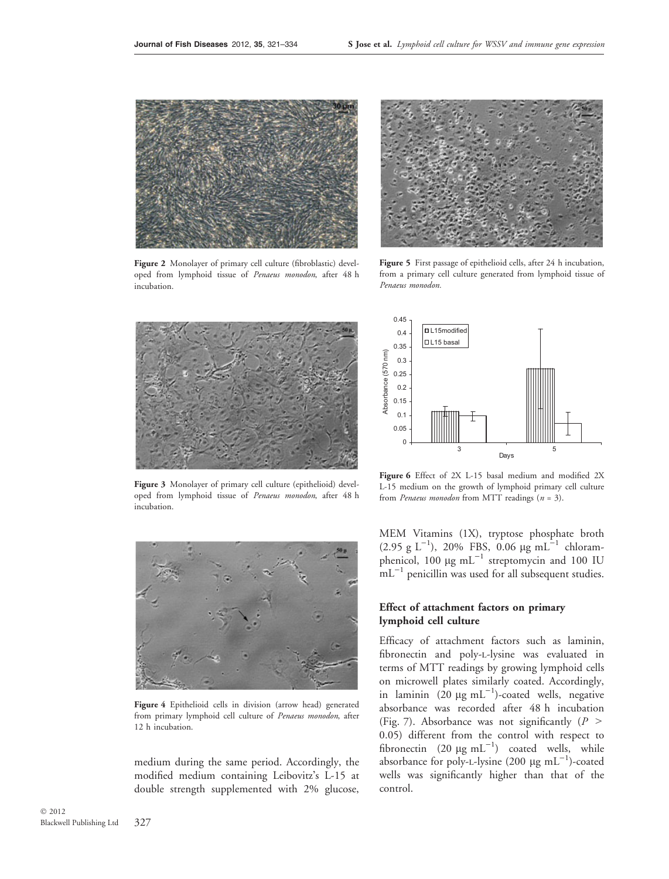

Figure 2 Monolayer of primary cell culture (fibroblastic) developed from lymphoid tissue of Penaeus monodon, after 48 h incubation.



Figure 3 Monolayer of primary cell culture (epithelioid) developed from lymphoid tissue of Penaeus monodon, after 48 h incubation.



Figure 4 Epithelioid cells in division (arrow head) generated from primary lymphoid cell culture of Penaeus monodon, after 12 h incubation.

medium during the same period. Accordingly, the modified medium containing Leibovitz's L-15 at double strength supplemented with 2% glucose,



Figure 5 First passage of epithelioid cells, after 24 h incubation, from a primary cell culture generated from lymphoid tissue of Penaeus monodon.



Figure 6 Effect of 2X L-15 basal medium and modified 2X L-15 medium on the growth of lymphoid primary cell culture from *Penaeus monodon* from MTT readings  $(n = 3)$ .

MEM Vitamins (1X), tryptose phosphate broth  $(2.95 \text{ g L}^{-1})$ , 20% FBS, 0.06 µg mL<sup>-1</sup> chloramphenicol, 100  $\mu$ g mL<sup>-1</sup> streptomycin and 100 IU  $mL^{-1}$  penicillin was used for all subsequent studies.

# Effect of attachment factors on primary lymphoid cell culture

Efficacy of attachment factors such as laminin, fibronectin and poly-l-lysine was evaluated in terms of MTT readings by growing lymphoid cells on microwell plates similarly coated. Accordingly, in laminin  $(20 \mu g \text{ mL}^{-1})$ -coated wells, negative absorbance was recorded after 48 h incubation (Fig. 7). Absorbance was not significantly ( $P >$ 0.05) different from the control with respect to fibronectin (20  $\mu$ g mL<sup>-1</sup>) coated wells, while absorbance for poly-L-lysine (200  $\mu$ g mL<sup>-1</sup>)-coated wells was significantly higher than that of the control.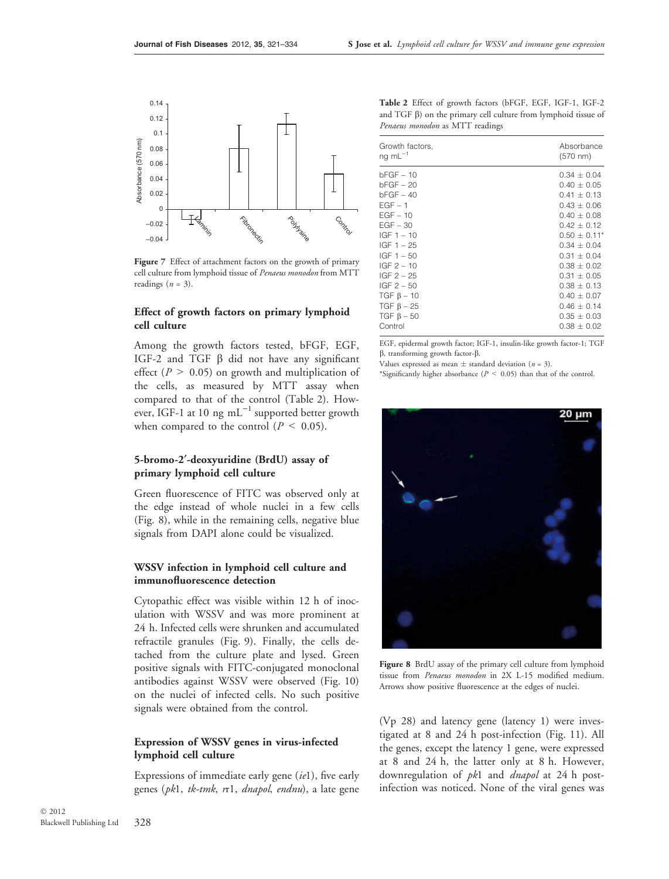

Figure 7 Effect of attachment factors on the growth of primary cell culture from lymphoid tissue of Penaeus monodon from MTT readings  $(n = 3)$ .

## Effect of growth factors on primary lymphoid cell culture

Among the growth factors tested, bFGF, EGF, IGF-2 and TGF  $\beta$  did not have any significant effect ( $P > 0.05$ ) on growth and multiplication of the cells, as measured by MTT assay when compared to that of the control (Table 2). However, IGF-1 at 10 ng  $mL^{-1}$  supported better growth when compared to the control ( $P \leq 0.05$ ).

## 5-bromo-2¢-deoxyuridine (BrdU) assay of primary lymphoid cell culture

Green fluorescence of FITC was observed only at the edge instead of whole nuclei in a few cells (Fig. 8), while in the remaining cells, negative blue signals from DAPI alone could be visualized.

## WSSV infection in lymphoid cell culture and immunofluorescence detection

Cytopathic effect was visible within 12 h of inoculation with WSSV and was more prominent at 24 h. Infected cells were shrunken and accumulated refractile granules (Fig. 9). Finally, the cells detached from the culture plate and lysed. Green positive signals with FITC-conjugated monoclonal antibodies against WSSV were observed (Fig. 10) on the nuclei of infected cells. No such positive signals were obtained from the control.

# Expression of WSSV genes in virus-infected lymphoid cell culture

Expressions of immediate early gene  $(iel)$ , five early genes (pk1, tk-tmk, rr1, dnapol, endnu), a late gene

Table 2 Effect of growth factors (bFGF, EGF, IGF-1, IGF-2 and  $TGF$   $\beta$ ) on the primary cell culture from lymphoid tissue of Penaeus monodon as MTT readings

| Growth factors,    | Absorbance      |
|--------------------|-----------------|
| ng $mL^{-1}$       | $(570 \; nm)$   |
| bFGF – 10          | $0.34 + 0.04$   |
| $bFGF - 20$        | $0.40 + 0.05$   |
| $bFGF - 40$        | $0.41 + 0.13$   |
| $EGF - 1$          | $0.43 \pm 0.06$ |
| $EGF - 10$         | $0.40 + 0.08$   |
| $EGF - 30$         | $0.42 + 0.12$   |
| $IGF 1 - 10$       | $0.50 + 0.11*$  |
| $IGF 1 - 25$       | $0.34 + 0.04$   |
| $IGF 1 - 50$       | $0.31 + 0.04$   |
| $IGF 2 - 10$       | $0.38 + 0.02$   |
| IGF 2 – 25         | $0.31 + 0.05$   |
| $IGF 2 - 50$       | $0.38 + 0.13$   |
| $TGF_{\beta} - 10$ | $0.40 + 0.07$   |
| $TGF_{\beta} - 25$ | $0.46 + 0.14$   |
| $TGF_{\beta} - 50$ | $0.35 + 0.03$   |
| Control            | $0.38 + 0.02$   |
|                    |                 |

EGF, epidermal growth factor; IGF-1, insulin-like growth factor-1; TGF  $\beta$ , transforming growth factor- $\beta$ .

Values expressed as mean  $\pm$  standard deviation (*n* = 3).

\*Significantly higher absorbance ( $P < 0.05$ ) than that of the control.



Figure 8 BrdU assay of the primary cell culture from lymphoid tissue from Penaeus monodon in 2X L-15 modified medium. Arrows show positive fluorescence at the edges of nuclei.

(Vp 28) and latency gene (latency 1) were investigated at 8 and 24 h post-infection (Fig. 11). All the genes, except the latency 1 gene, were expressed at 8 and 24 h, the latter only at 8 h. However, downregulation of *pk*1 and *dnapol* at 24 h postinfection was noticed. None of the viral genes was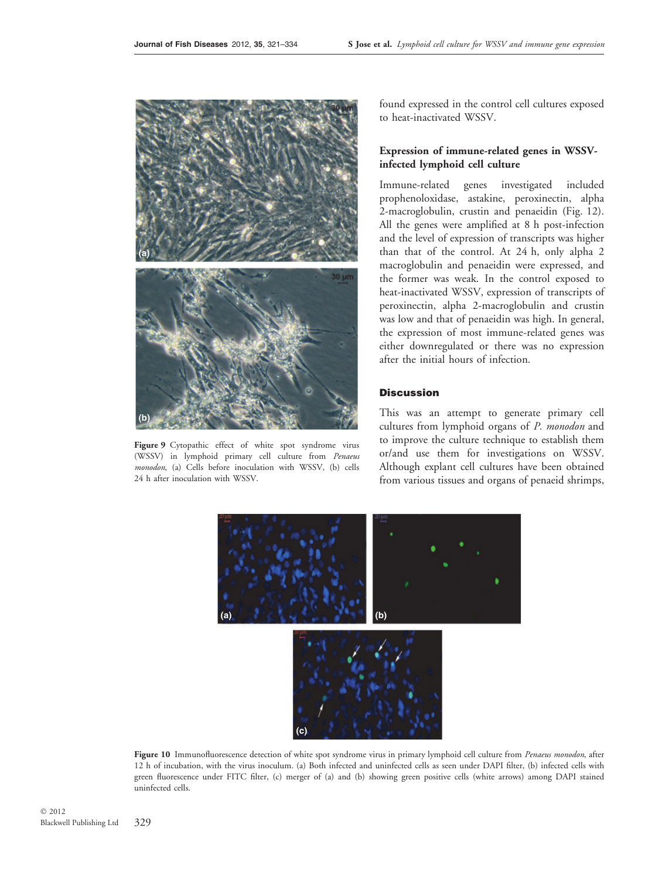

Figure 9 Cytopathic effect of white spot syndrome virus (WSSV) in lymphoid primary cell culture from Penaeus monodon, (a) Cells before inoculation with WSSV, (b) cells 24 h after inoculation with WSSV.

found expressed in the control cell cultures exposed to heat-inactivated WSSV.

# Expression of immune-related genes in WSSVinfected lymphoid cell culture

Immune-related genes investigated included prophenoloxidase, astakine, peroxinectin, alpha 2-macroglobulin, crustin and penaeidin (Fig. 12). All the genes were amplified at 8 h post-infection and the level of expression of transcripts was higher than that of the control. At 24 h, only alpha 2 macroglobulin and penaeidin were expressed, and the former was weak. In the control exposed to heat-inactivated WSSV, expression of transcripts of peroxinectin, alpha 2-macroglobulin and crustin was low and that of penaeidin was high. In general, the expression of most immune-related genes was either downregulated or there was no expression after the initial hours of infection.

#### **Discussion**

This was an attempt to generate primary cell cultures from lymphoid organs of P. monodon and to improve the culture technique to establish them or/and use them for investigations on WSSV. Although explant cell cultures have been obtained from various tissues and organs of penaeid shrimps,



Figure 10 Immunofluorescence detection of white spot syndrome virus in primary lymphoid cell culture from Penaeus monodon, after 12 h of incubation, with the virus inoculum. (a) Both infected and uninfected cells as seen under DAPI filter, (b) infected cells with green fluorescence under FITC filter, (c) merger of (a) and (b) showing green positive cells (white arrows) among DAPI stained uninfected cells.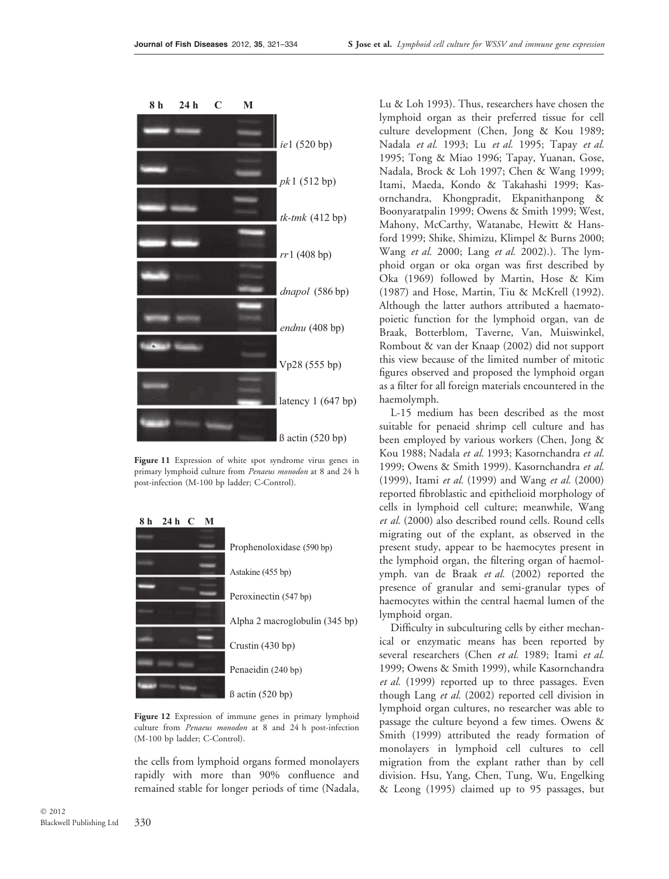



Figure 11 Expression of white spot syndrome virus genes in primary lymphoid culture from Penaeus monodon at 8 and 24 h post-infection (M-100 bp ladder; C-Control).



Figure 12 Expression of immune genes in primary lymphoid culture from Penaeus monodon at 8 and 24 h post-infection (M-100 bp ladder; C-Control).

the cells from lymphoid organs formed monolayers rapidly with more than 90% confluence and remained stable for longer periods of time (Nadala,

Lu & Loh 1993). Thus, researchers have chosen the lymphoid organ as their preferred tissue for cell culture development (Chen, Jong & Kou 1989; Nadala et al. 1993; Lu et al. 1995; Tapay et al. 1995; Tong & Miao 1996; Tapay, Yuanan, Gose, Nadala, Brock & Loh 1997; Chen & Wang 1999; Itami, Maeda, Kondo & Takahashi 1999; Kasornchandra, Khongpradit, Ekpanithanpong & Boonyaratpalin 1999; Owens & Smith 1999; West, Mahony, McCarthy, Watanabe, Hewitt & Hansford 1999; Shike, Shimizu, Klimpel & Burns 2000; Wang et al. 2000; Lang et al. 2002).). The lymphoid organ or oka organ was first described by Oka (1969) followed by Martin, Hose & Kim (1987) and Hose, Martin, Tiu & McKrell (1992). Although the latter authors attributed a haematopoietic function for the lymphoid organ, van de Braak, Botterblom, Taverne, Van, Muiswinkel, Rombout & van der Knaap (2002) did not support this view because of the limited number of mitotic figures observed and proposed the lymphoid organ as a filter for all foreign materials encountered in the haemolymph.

L-15 medium has been described as the most suitable for penaeid shrimp cell culture and has been employed by various workers (Chen, Jong & Kou 1988; Nadala et al. 1993; Kasornchandra et al. 1999; Owens & Smith 1999). Kasornchandra et al. (1999), Itami et al. (1999) and Wang et al. (2000) reported fibroblastic and epithelioid morphology of cells in lymphoid cell culture; meanwhile, Wang et al. (2000) also described round cells. Round cells migrating out of the explant, as observed in the present study, appear to be haemocytes present in the lymphoid organ, the filtering organ of haemolymph. van de Braak et al. (2002) reported the presence of granular and semi-granular types of haemocytes within the central haemal lumen of the lymphoid organ.

Difficulty in subculturing cells by either mechanical or enzymatic means has been reported by several researchers (Chen et al. 1989; Itami et al. 1999; Owens & Smith 1999), while Kasornchandra et al. (1999) reported up to three passages. Even though Lang et al. (2002) reported cell division in lymphoid organ cultures, no researcher was able to passage the culture beyond a few times. Owens & Smith (1999) attributed the ready formation of monolayers in lymphoid cell cultures to cell migration from the explant rather than by cell division. Hsu, Yang, Chen, Tung, Wu, Engelking & Leong (1995) claimed up to 95 passages, but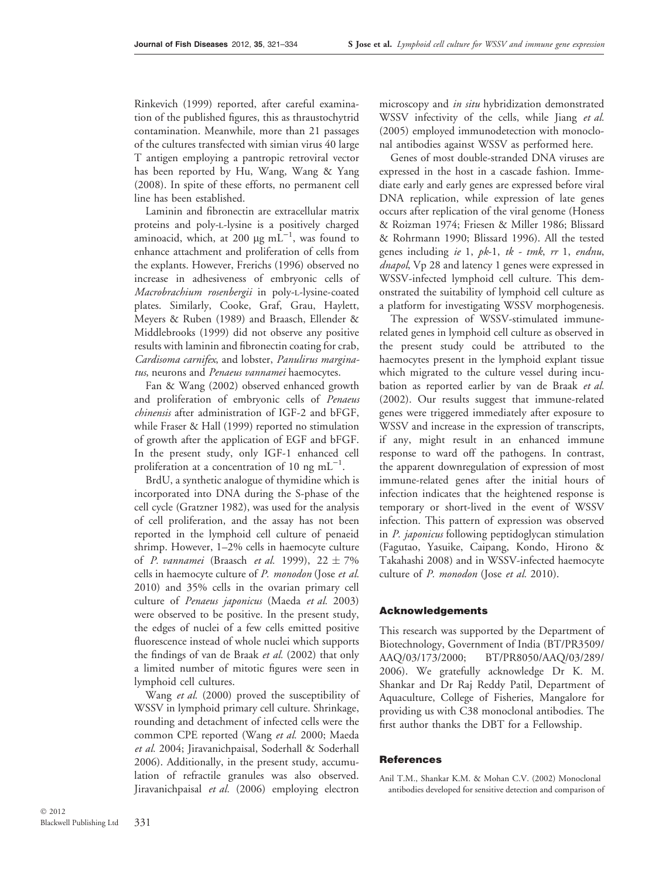Rinkevich (1999) reported, after careful examination of the published figures, this as thraustochytrid contamination. Meanwhile, more than 21 passages of the cultures transfected with simian virus 40 large T antigen employing a pantropic retroviral vector has been reported by Hu, Wang, Wang & Yang (2008). In spite of these efforts, no permanent cell line has been established.

Laminin and fibronectin are extracellular matrix proteins and poly-l-lysine is a positively charged aminoacid, which, at 200  $\mu$ g m $\overline{L}^{-1}$ , was found to enhance attachment and proliferation of cells from the explants. However, Frerichs (1996) observed no increase in adhesiveness of embryonic cells of Macrobrachium rosenbergii in poly-L-lysine-coated plates. Similarly, Cooke, Graf, Grau, Haylett, Meyers & Ruben (1989) and Braasch, Ellender & Middlebrooks (1999) did not observe any positive results with laminin and fibronectin coating for crab, Cardisoma carnifex, and lobster, Panulirus marginatus, neurons and Penaeus vannamei haemocytes.

Fan & Wang (2002) observed enhanced growth and proliferation of embryonic cells of Penaeus chinensis after administration of IGF-2 and bFGF, while Fraser & Hall (1999) reported no stimulation of growth after the application of EGF and bFGF. In the present study, only IGF-1 enhanced cell proliferation at a concentration of 10 ng  $mL^{-1}$ .

BrdU, a synthetic analogue of thymidine which is incorporated into DNA during the S-phase of the cell cycle (Gratzner 1982), was used for the analysis of cell proliferation, and the assay has not been reported in the lymphoid cell culture of penaeid shrimp. However, 1–2% cells in haemocyte culture of *P. vannamei* (Braasch *et al.* 1999), 22 ± 7% cells in haemocyte culture of P. monodon (Jose et al. 2010) and 35% cells in the ovarian primary cell culture of Penaeus japonicus (Maeda et al. 2003) were observed to be positive. In the present study, the edges of nuclei of a few cells emitted positive fluorescence instead of whole nuclei which supports the findings of van de Braak et al. (2002) that only a limited number of mitotic figures were seen in lymphoid cell cultures.

Wang et al. (2000) proved the susceptibility of WSSV in lymphoid primary cell culture. Shrinkage, rounding and detachment of infected cells were the common CPE reported (Wang et al. 2000; Maeda et al. 2004; Jiravanichpaisal, Soderhall & Soderhall 2006). Additionally, in the present study, accumulation of refractile granules was also observed. Jiravanichpaisal et al. (2006) employing electron

microscopy and *in situ* hybridization demonstrated WSSV infectivity of the cells, while Jiang et al. (2005) employed immunodetection with monoclonal antibodies against WSSV as performed here.

Genes of most double-stranded DNA viruses are expressed in the host in a cascade fashion. Immediate early and early genes are expressed before viral DNA replication, while expression of late genes occurs after replication of the viral genome (Honess & Roizman 1974; Friesen & Miller 1986; Blissard & Rohrmann 1990; Blissard 1996). All the tested genes including ie 1, pk-1, tk - tmk, rr 1, endnu, dnapol, Vp 28 and latency 1 genes were expressed in WSSV-infected lymphoid cell culture. This demonstrated the suitability of lymphoid cell culture as a platform for investigating WSSV morphogenesis.

The expression of WSSV-stimulated immunerelated genes in lymphoid cell culture as observed in the present study could be attributed to the haemocytes present in the lymphoid explant tissue which migrated to the culture vessel during incubation as reported earlier by van de Braak et al. (2002). Our results suggest that immune-related genes were triggered immediately after exposure to WSSV and increase in the expression of transcripts, if any, might result in an enhanced immune response to ward off the pathogens. In contrast, the apparent downregulation of expression of most immune-related genes after the initial hours of infection indicates that the heightened response is temporary or short-lived in the event of WSSV infection. This pattern of expression was observed in P. japonicus following peptidoglycan stimulation (Fagutao, Yasuike, Caipang, Kondo, Hirono & Takahashi 2008) and in WSSV-infected haemocyte culture of P. monodon (Jose et al. 2010).

#### Acknowledgements

This research was supported by the Department of Biotechnology, Government of India (BT/PR3509/ AAQ/03/173/2000; BT/PR8050/AAQ/03/289/ 2006). We gratefully acknowledge Dr K. M. Shankar and Dr Raj Reddy Patil, Department of Aquaculture, College of Fisheries, Mangalore for providing us with C38 monoclonal antibodies. The first author thanks the DBT for a Fellowship.

## **References**

Anil T.M., Shankar K.M. & Mohan C.V. (2002) Monoclonal antibodies developed for sensitive detection and comparison of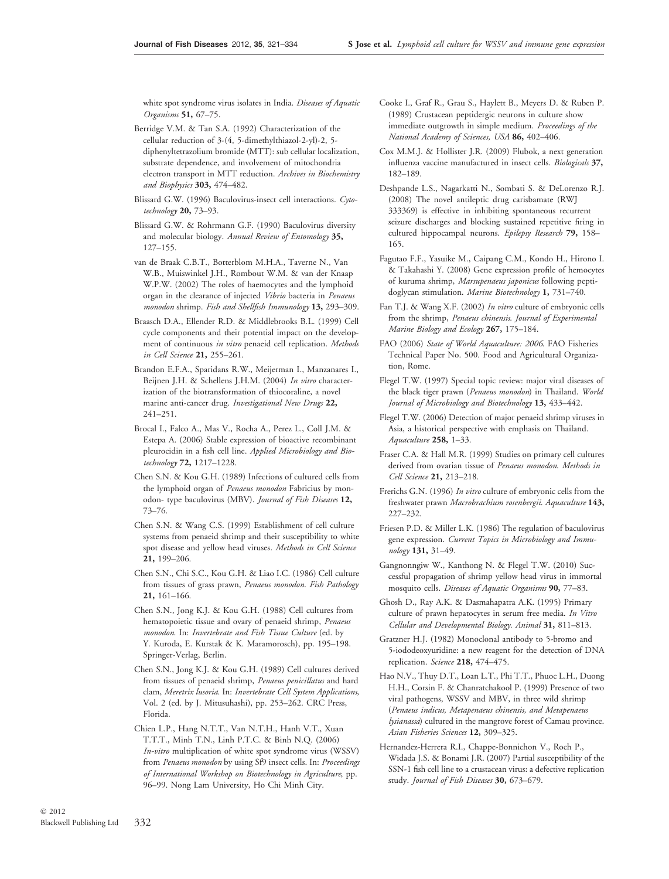white spot syndrome virus isolates in India. Diseases of Aquatic Organisms 51, 67–75.

Berridge V.M. & Tan S.A. (1992) Characterization of the cellular reduction of 3-(4, 5-dimethylthiazol-2-yl)-2, 5 diphenyltetrazolium bromide (MTT): sub cellular localization, substrate dependence, and involvement of mitochondria electron transport in MTT reduction. Archives in Biochemistry and Biophysics 303, 474–482.

Blissard G.W. (1996) Baculovirus-insect cell interactions. Cytotechnology 20, 73–93.

Blissard G.W. & Rohrmann G.F. (1990) Baculovirus diversity and molecular biology. Annual Review of Entomology 35, 127–155.

van de Braak C.B.T., Botterblom M.H.A., Taverne N., Van W.B., Muiswinkel J.H., Rombout W.M. & van der Knaap W.P.W. (2002) The roles of haemocytes and the lymphoid organ in the clearance of injected Vibrio bacteria in Penaeus monodon shrimp. Fish and Shellfish Immunology 13, 293–309.

Braasch D.A., Ellender R.D. & Middlebrooks B.L. (1999) Cell cycle components and their potential impact on the development of continuous in vitro penaeid cell replication. Methods in Cell Science 21, 255–261.

Brandon E.F.A., Sparidans R.W., Meijerman I., Manzanares I., Beijnen J.H. & Schellens J.H.M. (2004) In vitro characterization of the biotransformation of thiocoraline, a novel marine anti-cancer drug. Investigational New Drugs 22, 241–251.

Brocal I., Falco A., Mas V., Rocha A., Perez L., Coll J.M. & Estepa A. (2006) Stable expression of bioactive recombinant pleurocidin in a fish cell line. Applied Microbiology and Biotechnology 72, 1217–1228.

Chen S.N. & Kou G.H. (1989) Infections of cultured cells from the lymphoid organ of Penaeus monodon Fabricius by monodon- type baculovirus (MBV). Journal of Fish Diseases 12, 73–76.

Chen S.N. & Wang C.S. (1999) Establishment of cell culture systems from penaeid shrimp and their susceptibility to white spot disease and yellow head viruses. Methods in Cell Science 21, 199–206.

Chen S.N., Chi S.C., Kou G.H. & Liao I.C. (1986) Cell culture from tissues of grass prawn, Penaeus monodon. Fish Pathology 21, 161–166.

Chen S.N., Jong K.J. & Kou G.H. (1988) Cell cultures from hematopoietic tissue and ovary of penaeid shrimp, Penaeus monodon. In: Invertebrate and Fish Tissue Culture (ed. by Y. Kuroda, E. Kurstak & K. Maramorosch), pp. 195–198. Springer-Verlag, Berlin.

Chen S.N., Jong K.J. & Kou G.H. (1989) Cell cultures derived from tissues of penaeid shrimp, Penaeus penicillatus and hard clam, Meretrix lusoria. In: Invertebrate Cell System Applications, Vol. 2 (ed. by J. Mitusuhashi), pp. 253–262. CRC Press, Florida.

Chien L.P., Hang N.T.T., Van N.T.H., Hanh V.T., Xuan T.T.T., Minh T.N., Linh P.T.C. & Binh N.Q. (2006) In-vitro multiplication of white spot syndrome virus (WSSV) from Penaeus monodon by using Sf9 insect cells. In: Proceedings of International Workshop on Biotechnology in Agriculture, pp. 96–99. Nong Lam University, Ho Chi Minh City.

Cooke I., Graf R., Grau S., Haylett B., Meyers D. & Ruben P. (1989) Crustacean peptidergic neurons in culture show immediate outgrowth in simple medium. Proceedings of the National Academy of Sciences, USA 86, 402–406.

Cox M.M.J. & Hollister J.R. (2009) Flubok, a next generation influenza vaccine manufactured in insect cells. Biologicals 37, 182–189.

Deshpande L.S., Nagarkatti N., Sombati S. & DeLorenzo R.J. (2008) The novel antileptic drug carisbamate (RWJ 333369) is effective in inhibiting spontaneous recurrent seizure discharges and blocking sustained repetitive firing in cultured hippocampal neurons. Epilepsy Research 79, 158– 165.

Fagutao F.F., Yasuike M., Caipang C.M., Kondo H., Hirono I. & Takahashi Y. (2008) Gene expression profile of hemocytes of kuruma shrimp, Marsupenaeus japonicus following peptidoglycan stimulation. Marine Biotechnology 1, 731–740.

Fan T.J. & Wang X.F. (2002) In vitro culture of embryonic cells from the shrimp, Penaeus chinensis. Journal of Experimental Marine Biology and Ecology 267, 175–184.

FAO (2006) State of World Aquaculture: 2006. FAO Fisheries Technical Paper No. 500. Food and Agricultural Organization, Rome.

Flegel T.W. (1997) Special topic review: major viral diseases of the black tiger prawn (Penaeus monodon) in Thailand. World Journal of Microbiology and Biotechnology 13, 433–442.

Flegel T.W. (2006) Detection of major penaeid shrimp viruses in Asia, a historical perspective with emphasis on Thailand. Aquaculture 258, 1–33.

Fraser C.A. & Hall M.R. (1999) Studies on primary cell cultures derived from ovarian tissue of Penaeus monodon. Methods in Cell Science 21, 213–218.

Frerichs G.N. (1996) In vitro culture of embryonic cells from the freshwater prawn Macrobrachium rosenbergii. Aquaculture 143, 227–232.

Friesen P.D. & Miller L.K. (1986) The regulation of baculovirus gene expression. Current Topics in Microbiology and Immunology 131, 31–49.

Gangnonngiw W., Kanthong N. & Flegel T.W. (2010) Successful propagation of shrimp yellow head virus in immortal mosquito cells. Diseases of Aquatic Organisms 90, 77-83.

Ghosh D., Ray A.K. & Dasmahapatra A.K. (1995) Primary culture of prawn hepatocytes in serum free media. In Vitro Cellular and Developmental Biology. Animal 31, 811–813.

Gratzner H.J. (1982) Monoclonal antibody to 5-bromo and 5-iododeoxyuridine: a new reagent for the detection of DNA replication. Science 218, 474–475.

Hao N.V., Thuy D.T., Loan L.T., Phi T.T., Phuoc L.H., Duong H.H., Corsin F. & Chanratchakool P. (1999) Presence of two viral pathogens, WSSV and MBV, in three wild shrimp (Penaeus indicus, Metapenaeus chinensis, and Metapenaeus lysianassa) cultured in the mangrove forest of Camau province. Asian Fisheries Sciences 12, 309–325.

Hernandez-Herrera R.I., Chappe-Bonnichon V., Roch P., Widada J.S. & Bonami J.R. (2007) Partial susceptibility of the SSN-1 fish cell line to a crustacean virus: a defective replication study. Journal of Fish Diseases 30, 673–679.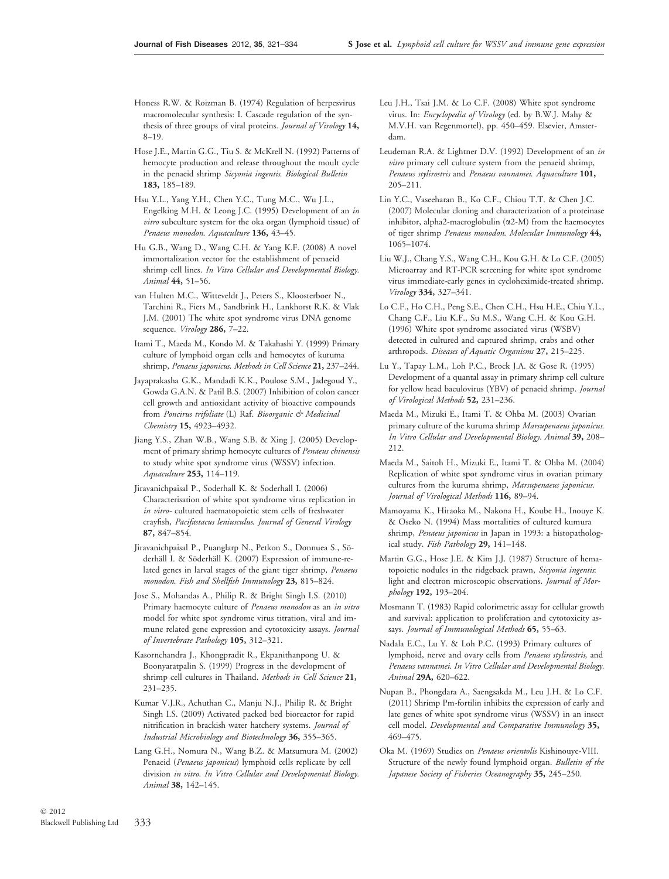- Honess R.W. & Roizman B. (1974) Regulation of herpesvirus macromolecular synthesis: I. Cascade regulation of the synthesis of three groups of viral proteins. Journal of Virology 14, 8–19.
- Hose J.E., Martin G.G., Tiu S. & McKrell N. (1992) Patterns of hemocyte production and release throughout the moult cycle in the penaeid shrimp Sicyonia ingentis. Biological Bulletin 183, 185–189.
- Hsu Y.L., Yang Y.H., Chen Y.C., Tung M.C., Wu J.L., Engelking M.H. & Leong J.C. (1995) Development of an in vitro subculture system for the oka organ (lymphoid tissue) of Penaeus monodon. Aquaculture 136, 43–45.
- Hu G.B., Wang D., Wang C.H. & Yang K.F. (2008) A novel immortalization vector for the establishment of penaeid shrimp cell lines. In Vitro Cellular and Developmental Biology. Animal 44, 51–56.
- van Hulten M.C., Witteveldt J., Peters S., Kloosterboer N., Tarchini R., Fiers M., Sandbrink H., Lankhorst R.K. & Vlak J.M. (2001) The white spot syndrome virus DNA genome sequence. Virology 286, 7-22.
- Itami T., Maeda M., Kondo M. & Takahashi Y. (1999) Primary culture of lymphoid organ cells and hemocytes of kuruma shrimp, Penaeus japonicus. Methods in Cell Science 21, 237-244.
- Jayaprakasha G.K., Mandadi K.K., Poulose S.M., Jadegoud Y., Gowda G.A.N. & Patil B.S. (2007) Inhibition of colon cancer cell growth and antioxidant activity of bioactive compounds from Poncirus trifoliate (L) Raf. Bioorganic & Medicinal Chemistry 15, 4923-4932.
- Jiang Y.S., Zhan W.B., Wang S.B. & Xing J. (2005) Development of primary shrimp hemocyte cultures of Penaeus chinensis to study white spot syndrome virus (WSSV) infection. Aquaculture 253, 114–119.
- Jiravanichpaisal P., Soderhall K. & Soderhall I. (2006) Characterisation of white spot syndrome virus replication in in vitro- cultured haematopoietic stem cells of freshwater crayfish, Pacifastacus leniusculus. Journal of General Virology 87, 847–854.
- Jiravanichpaisal P., Puanglarp N., Petkon S., Donnuea S., Söderhäll I. & Söderhäll K. (2007) Expression of immune-related genes in larval stages of the giant tiger shrimp, Penaeus monodon. Fish and Shellfish Immunology 23, 815–824.
- Jose S., Mohandas A., Philip R. & Bright Singh I.S. (2010) Primary haemocyte culture of Penaeus monodon as an in vitro model for white spot syndrome virus titration, viral and immune related gene expression and cytotoxicity assays. Journal of Invertebrate Pathology 105, 312–321.
- Kasornchandra J., Khongpradit R., Ekpanithanpong U. & Boonyaratpalin S. (1999) Progress in the development of shrimp cell cultures in Thailand. Methods in Cell Science 21, 231–235.
- Kumar V.J.R., Achuthan C., Manju N.J., Philip R. & Bright Singh I.S. (2009) Activated packed bed bioreactor for rapid nitrification in brackish water hatchery systems. Journal of Industrial Microbiology and Biotechnology 36, 355–365.
- Lang G.H., Nomura N., Wang B.Z. & Matsumura M. (2002) Penaeid (Penaeus japonicus) lymphoid cells replicate by cell division in vitro. In Vitro Cellular and Developmental Biology. Animal 38, 142–145.
- Leu J.H., Tsai J.M. & Lo C.F. (2008) White spot syndrome virus. In: Encyclopedia of Virology (ed. by B.W.J. Mahy & M.V.H. van Regenmortel), pp. 450–459. Elsevier, Amsterdam.
- Leudeman R.A. & Lightner D.V. (1992) Development of an in vitro primary cell culture system from the penaeid shrimp, Penaeus stylirostris and Penaeus vannamei. Aquaculture 101, 205–211.
- Lin Y.C., Vaseeharan B., Ko C.F., Chiou T.T. & Chen J.C. (2007) Molecular cloning and characterization of a proteinase inhibitor, alpha2-macroglobulin (a2-M) from the haemocytes of tiger shrimp Penaeus monodon. Molecular Immunology 44, 1065–1074.
- Liu W.J., Chang Y.S., Wang C.H., Kou G.H. & Lo C.F. (2005) Microarray and RT-PCR screening for white spot syndrome virus immediate-early genes in cycloheximide-treated shrimp. Virology 334, 327–341.
- Lo C.F., Ho C.H., Peng S.E., Chen C.H., Hsu H.E., Chiu Y.L., Chang C.F., Liu K.F., Su M.S., Wang C.H. & Kou G.H. (1996) White spot syndrome associated virus (WSBV) detected in cultured and captured shrimp, crabs and other arthropods. Diseases of Aquatic Organisms 27, 215–225.
- Lu Y., Tapay L.M., Loh P.C., Brock J.A. & Gose R. (1995) Development of a quantal assay in primary shrimp cell culture for yellow head baculovirus (YBV) of penaeid shrimp. Journal of Virological Methods 52, 231–236.
- Maeda M., Mizuki E., Itami T. & Ohba M. (2003) Ovarian primary culture of the kuruma shrimp Marsupenaeus japonicus. In Vitro Cellular and Developmental Biology. Animal 39, 208– 212.
- Maeda M., Saitoh H., Mizuki E., Itami T. & Ohba M. (2004) Replication of white spot syndrome virus in ovarian primary cultures from the kuruma shrimp, Marsupenaeus japonicus. Journal of Virological Methods 116, 89–94.
- Mamoyama K., Hiraoka M., Nakona H., Koube H., Inouye K. & Oseko N. (1994) Mass mortalities of cultured kumura shrimp, Penaeus japonicus in Japan in 1993: a histopathological study. Fish Pathology 29, 141-148.
- Martin G.G., Hose J.E. & Kim J.J. (1987) Structure of hematopoietic nodules in the ridgeback prawn, Sicyonia ingentis: light and electron microscopic observations. Journal of Morphology 192, 193–204.
- Mosmann T. (1983) Rapid colorimetric assay for cellular growth and survival: application to proliferation and cytotoxicity assays. Journal of Immunological Methods 65, 55-63.
- Nadala E.C., Lu Y. & Loh P.C. (1993) Primary cultures of lymphoid, nerve and ovary cells from Penaeus stylirostris, and Penaeus vannamei. In Vitro Cellular and Developmental Biology. Animal 29A, 620–622.
- Nupan B., Phongdara A., Saengsakda M., Leu J.H. & Lo C.F. (2011) Shrimp Pm-fortilin inhibits the expression of early and late genes of white spot syndrome virus (WSSV) in an insect cell model. Developmental and Comparative Immunology 35, 469–475.
- Oka M. (1969) Studies on Penaeus orientolis Kishinouye-VIII. Structure of the newly found lymphoid organ. Bulletin of the Japanese Society of Fisheries Oceanography 35, 245–250.